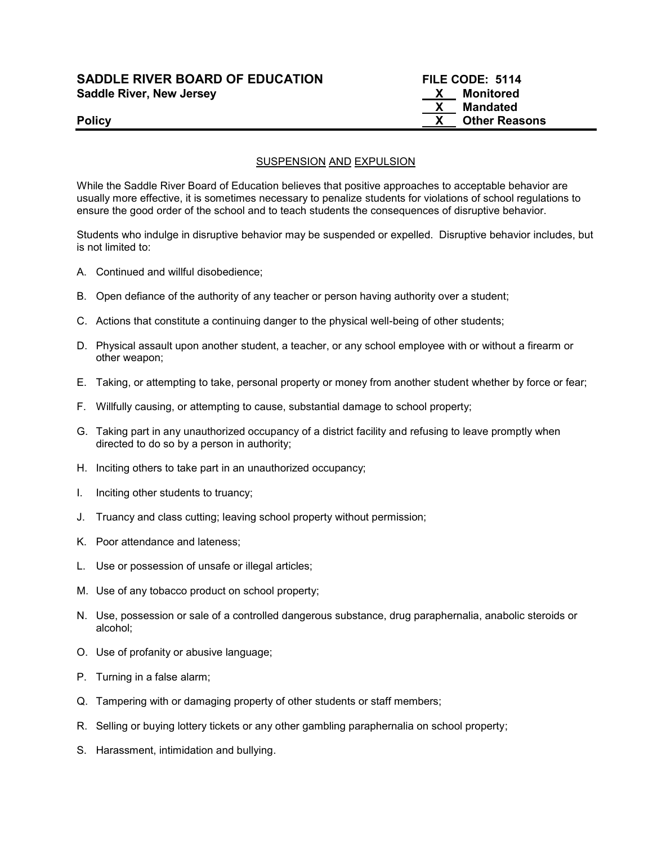### SADDLE RIVER BOARD OF EDUCATION FILE CODE: 5114 Saddle River, New Jersey Monitored Saddle River, New Jersey

# X Mandated Policy **Example 2018 CONSERVING 2018 CONSERVING 2019 12:30 THE REASONS**

#### SUSPENSION AND EXPULSION

While the Saddle River Board of Education believes that positive approaches to acceptable behavior are usually more effective, it is sometimes necessary to penalize students for violations of school regulations to ensure the good order of the school and to teach students the consequences of disruptive behavior.

Students who indulge in disruptive behavior may be suspended or expelled. Disruptive behavior includes, but is not limited to:

- A. Continued and willful disobedience;
- B. Open defiance of the authority of any teacher or person having authority over a student;
- C. Actions that constitute a continuing danger to the physical well-being of other students;
- D. Physical assault upon another student, a teacher, or any school employee with or without a firearm or other weapon;
- E. Taking, or attempting to take, personal property or money from another student whether by force or fear;
- F. Willfully causing, or attempting to cause, substantial damage to school property;
- G. Taking part in any unauthorized occupancy of a district facility and refusing to leave promptly when directed to do so by a person in authority;
- H. Inciting others to take part in an unauthorized occupancy;
- I. Inciting other students to truancy;
- J. Truancy and class cutting; leaving school property without permission;
- K. Poor attendance and lateness;
- L. Use or possession of unsafe or illegal articles;
- M. Use of any tobacco product on school property;
- N. Use, possession or sale of a controlled dangerous substance, drug paraphernalia, anabolic steroids or alcohol;
- O. Use of profanity or abusive language;
- P. Turning in a false alarm;
- Q. Tampering with or damaging property of other students or staff members;
- R. Selling or buying lottery tickets or any other gambling paraphernalia on school property;
- S. Harassment, intimidation and bullying.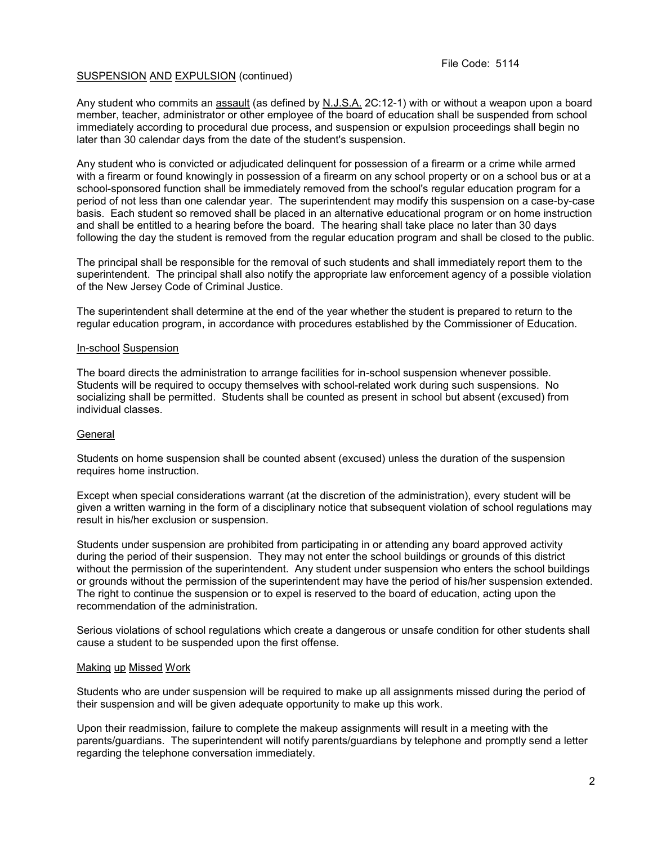Any student who commits an assault (as defined by N.J.S.A. 2C:12-1) with or without a weapon upon a board member, teacher, administrator or other employee of the board of education shall be suspended from school immediately according to procedural due process, and suspension or expulsion proceedings shall begin no later than 30 calendar days from the date of the student's suspension.

Any student who is convicted or adjudicated delinquent for possession of a firearm or a crime while armed with a firearm or found knowingly in possession of a firearm on any school property or on a school bus or at a school-sponsored function shall be immediately removed from the school's regular education program for a period of not less than one calendar year. The superintendent may modify this suspension on a case-by-case basis. Each student so removed shall be placed in an alternative educational program or on home instruction and shall be entitled to a hearing before the board. The hearing shall take place no later than 30 days following the day the student is removed from the regular education program and shall be closed to the public.

The principal shall be responsible for the removal of such students and shall immediately report them to the superintendent. The principal shall also notify the appropriate law enforcement agency of a possible violation of the New Jersey Code of Criminal Justice.

The superintendent shall determine at the end of the year whether the student is prepared to return to the regular education program, in accordance with procedures established by the Commissioner of Education.

#### In-school Suspension

The board directs the administration to arrange facilities for in-school suspension whenever possible. Students will be required to occupy themselves with school-related work during such suspensions. No socializing shall be permitted. Students shall be counted as present in school but absent (excused) from individual classes.

#### **General**

Students on home suspension shall be counted absent (excused) unless the duration of the suspension requires home instruction.

Except when special considerations warrant (at the discretion of the administration), every student will be given a written warning in the form of a disciplinary notice that subsequent violation of school regulations may result in his/her exclusion or suspension.

Students under suspension are prohibited from participating in or attending any board approved activity during the period of their suspension. They may not enter the school buildings or grounds of this district without the permission of the superintendent. Any student under suspension who enters the school buildings or grounds without the permission of the superintendent may have the period of his/her suspension extended. The right to continue the suspension or to expel is reserved to the board of education, acting upon the recommendation of the administration.

Serious violations of school regulations which create a dangerous or unsafe condition for other students shall cause a student to be suspended upon the first offense.

#### Making up Missed Work

Students who are under suspension will be required to make up all assignments missed during the period of their suspension and will be given adequate opportunity to make up this work.

Upon their readmission, failure to complete the makeup assignments will result in a meeting with the parents/guardians. The superintendent will notify parents/guardians by telephone and promptly send a letter regarding the telephone conversation immediately.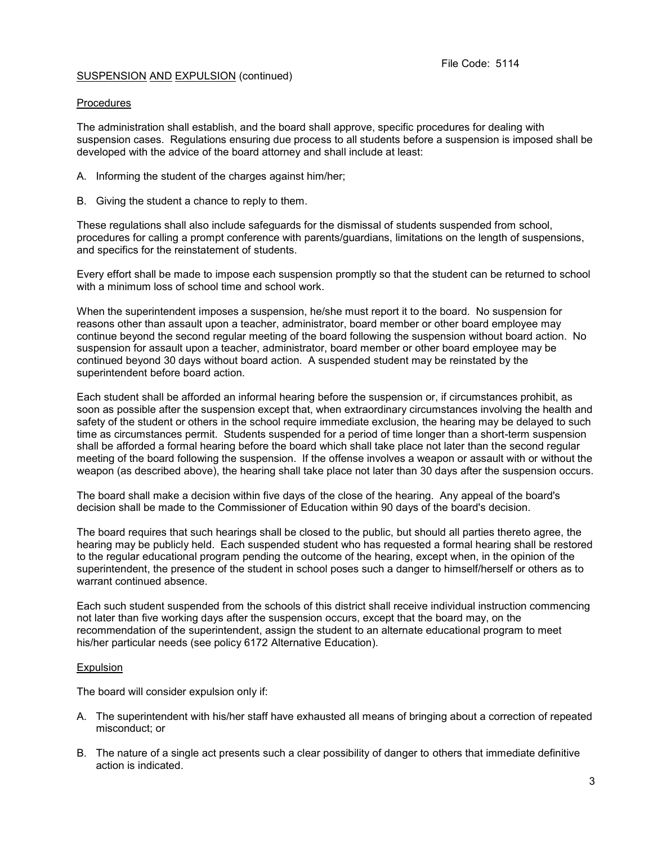#### Procedures

The administration shall establish, and the board shall approve, specific procedures for dealing with suspension cases. Regulations ensuring due process to all students before a suspension is imposed shall be developed with the advice of the board attorney and shall include at least:

- A. Informing the student of the charges against him/her;
- B. Giving the student a chance to reply to them.

These regulations shall also include safeguards for the dismissal of students suspended from school, procedures for calling a prompt conference with parents/guardians, limitations on the length of suspensions, and specifics for the reinstatement of students.

Every effort shall be made to impose each suspension promptly so that the student can be returned to school with a minimum loss of school time and school work.

When the superintendent imposes a suspension, he/she must report it to the board. No suspension for reasons other than assault upon a teacher, administrator, board member or other board employee may continue beyond the second regular meeting of the board following the suspension without board action. No suspension for assault upon a teacher, administrator, board member or other board employee may be continued beyond 30 days without board action. A suspended student may be reinstated by the superintendent before board action.

Each student shall be afforded an informal hearing before the suspension or, if circumstances prohibit, as soon as possible after the suspension except that, when extraordinary circumstances involving the health and safety of the student or others in the school require immediate exclusion, the hearing may be delayed to such time as circumstances permit. Students suspended for a period of time longer than a short-term suspension shall be afforded a formal hearing before the board which shall take place not later than the second regular meeting of the board following the suspension. If the offense involves a weapon or assault with or without the weapon (as described above), the hearing shall take place not later than 30 days after the suspension occurs.

The board shall make a decision within five days of the close of the hearing. Any appeal of the board's decision shall be made to the Commissioner of Education within 90 days of the board's decision.

The board requires that such hearings shall be closed to the public, but should all parties thereto agree, the hearing may be publicly held. Each suspended student who has requested a formal hearing shall be restored to the regular educational program pending the outcome of the hearing, except when, in the opinion of the superintendent, the presence of the student in school poses such a danger to himself/herself or others as to warrant continued absence.

Each such student suspended from the schools of this district shall receive individual instruction commencing not later than five working days after the suspension occurs, except that the board may, on the recommendation of the superintendent, assign the student to an alternate educational program to meet his/her particular needs (see policy 6172 Alternative Education).

#### **Expulsion**

The board will consider expulsion only if:

- A. The superintendent with his/her staff have exhausted all means of bringing about a correction of repeated misconduct; or
- B. The nature of a single act presents such a clear possibility of danger to others that immediate definitive action is indicated.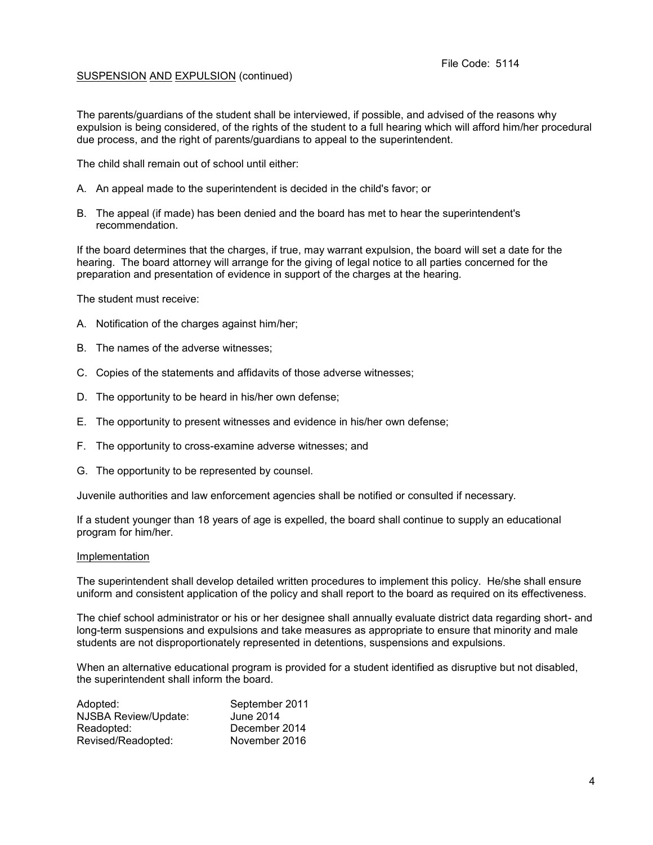The parents/guardians of the student shall be interviewed, if possible, and advised of the reasons why expulsion is being considered, of the rights of the student to a full hearing which will afford him/her procedural due process, and the right of parents/guardians to appeal to the superintendent.

The child shall remain out of school until either:

- A. An appeal made to the superintendent is decided in the child's favor; or
- B. The appeal (if made) has been denied and the board has met to hear the superintendent's recommendation.

If the board determines that the charges, if true, may warrant expulsion, the board will set a date for the hearing. The board attorney will arrange for the giving of legal notice to all parties concerned for the preparation and presentation of evidence in support of the charges at the hearing.

The student must receive:

- A. Notification of the charges against him/her;
- B. The names of the adverse witnesses;
- C. Copies of the statements and affidavits of those adverse witnesses;
- D. The opportunity to be heard in his/her own defense;
- E. The opportunity to present witnesses and evidence in his/her own defense;
- F. The opportunity to cross-examine adverse witnesses; and
- G. The opportunity to be represented by counsel.

Juvenile authorities and law enforcement agencies shall be notified or consulted if necessary.

If a student younger than 18 years of age is expelled, the board shall continue to supply an educational program for him/her.

#### Implementation

The superintendent shall develop detailed written procedures to implement this policy. He/she shall ensure uniform and consistent application of the policy and shall report to the board as required on its effectiveness.

The chief school administrator or his or her designee shall annually evaluate district data regarding short- and long-term suspensions and expulsions and take measures as appropriate to ensure that minority and male students are not disproportionately represented in detentions, suspensions and expulsions.

When an alternative educational program is provided for a student identified as disruptive but not disabled, the superintendent shall inform the board.

| Adopted:                    | September 2011 |
|-----------------------------|----------------|
| <b>NJSBA Review/Update:</b> | June 2014      |
| Readopted:                  | December 2014  |
| Revised/Readopted:          | November 2016  |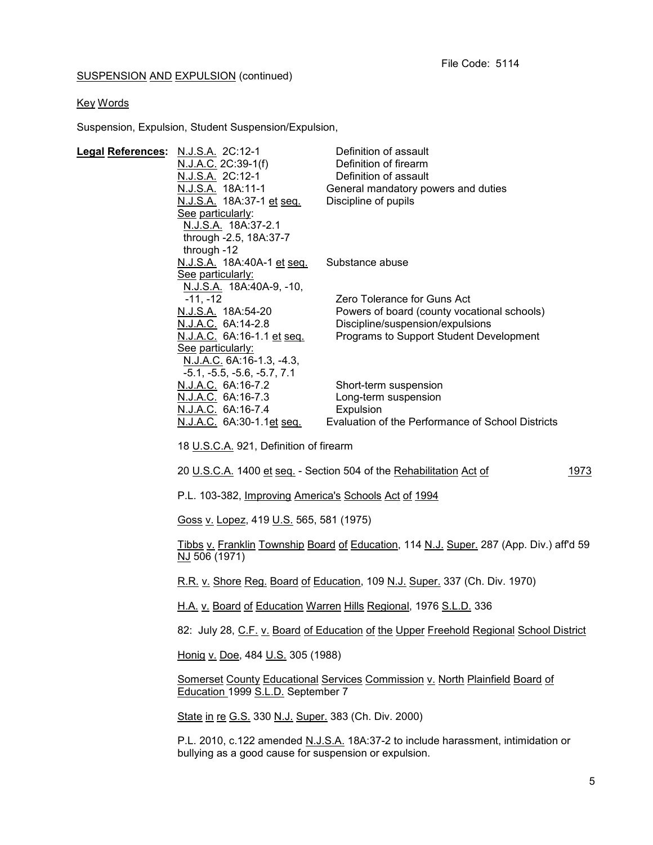# Key Words

Suspension, Expulsion, Student Suspension/Expulsion,

| Legal References: N.J.S.A. 2C:12-1     | <u>N.J.A.C.</u> 2C:39-1(f)<br>N.J.S.A. 2C:12-1<br><u>N.J.S.A.</u> 18A:11-1<br><u>N.J.S.A.</u> 18A:37-1 <u>et seq.</u><br>See particularly:<br>N.J.S.A. 18A:37-2.1<br>through -2.5, 18A:37-7                                                                                                                                                                                                                                                                                                                                                                                                                                                                                        | Definition of assault<br>Definition of firearm<br>Definition of assault<br>General mandatory powers and duties<br>Discipline of pupils                    |      |
|----------------------------------------|------------------------------------------------------------------------------------------------------------------------------------------------------------------------------------------------------------------------------------------------------------------------------------------------------------------------------------------------------------------------------------------------------------------------------------------------------------------------------------------------------------------------------------------------------------------------------------------------------------------------------------------------------------------------------------|-----------------------------------------------------------------------------------------------------------------------------------------------------------|------|
|                                        | through -12<br>N.J.S.A. 18A:40A-1 et seq.<br>See particularly:<br>N.J.S.A. 18A:40A-9, -10,                                                                                                                                                                                                                                                                                                                                                                                                                                                                                                                                                                                         | Substance abuse                                                                                                                                           |      |
|                                        | $-11, -12$<br>N.J.S.A. 18A:54-20<br>N.J.A.C. 6A:14-2.8<br><u>N.J.A.C.</u> 6A:16-1.1 et seq.<br>See particularly:<br>N.J.A.C. 6A:16-1.3, -4.3,                                                                                                                                                                                                                                                                                                                                                                                                                                                                                                                                      | Zero Tolerance for Guns Act<br>Powers of board (county vocational schools)<br>Discipline/suspension/expulsions<br>Programs to Support Student Development |      |
|                                        | $-5.1, -5.5, -5.6, -5.7, 7.1$<br>N.J.A.C. 6A:16-7.2<br>N.J.A.C. 6A:16-7.3<br>N.J.A.C. 6A:16-7.4<br><u>N.J.A.C.</u> 6A:30-1.1 <u>et seq.</u>                                                                                                                                                                                                                                                                                                                                                                                                                                                                                                                                        | Short-term suspension<br>Long-term suspension<br>Expulsion<br>Evaluation of the Performance of School Districts                                           |      |
| 18 U.S.C.A. 921, Definition of firearm |                                                                                                                                                                                                                                                                                                                                                                                                                                                                                                                                                                                                                                                                                    |                                                                                                                                                           |      |
|                                        |                                                                                                                                                                                                                                                                                                                                                                                                                                                                                                                                                                                                                                                                                    | 20 U.S.C.A. 1400 et seq. - Section 504 of the Rehabilitation Act of                                                                                       | 1973 |
|                                        | P.L. 103-382, Improving America's Schools Act of 1994<br>Goss v. Lopez, 419 U.S. 565, 581 (1975)<br>Tibbs v. Franklin Township Board of Education, 114 N.J. Super. 287 (App. Div.) aff'd 59<br>NJ 506 (1971)<br>R.R. v. Shore Reg. Board of Education, 109 N.J. Super. 337 (Ch. Div. 1970)<br>H.A. v. Board of Education Warren Hills Regional, 1976 S.L.D. 336<br>82: July 28, C.F. v. Board of Education of the Upper Freehold Regional School District<br>Honig v. Doe, 484 U.S. 305 (1988)<br><b>Somerset County Educational Services Commission v. North Plainfield Board of</b><br>Education 1999 S.L.D. September 7<br>State in re G.S. 330 N.J. Super. 383 (Ch. Div. 2000) |                                                                                                                                                           |      |
|                                        |                                                                                                                                                                                                                                                                                                                                                                                                                                                                                                                                                                                                                                                                                    |                                                                                                                                                           |      |
|                                        |                                                                                                                                                                                                                                                                                                                                                                                                                                                                                                                                                                                                                                                                                    |                                                                                                                                                           |      |
|                                        |                                                                                                                                                                                                                                                                                                                                                                                                                                                                                                                                                                                                                                                                                    |                                                                                                                                                           |      |
|                                        |                                                                                                                                                                                                                                                                                                                                                                                                                                                                                                                                                                                                                                                                                    |                                                                                                                                                           |      |
|                                        |                                                                                                                                                                                                                                                                                                                                                                                                                                                                                                                                                                                                                                                                                    |                                                                                                                                                           |      |
|                                        |                                                                                                                                                                                                                                                                                                                                                                                                                                                                                                                                                                                                                                                                                    |                                                                                                                                                           |      |
|                                        |                                                                                                                                                                                                                                                                                                                                                                                                                                                                                                                                                                                                                                                                                    |                                                                                                                                                           |      |
|                                        |                                                                                                                                                                                                                                                                                                                                                                                                                                                                                                                                                                                                                                                                                    |                                                                                                                                                           |      |
|                                        | bullying as a good cause for suspension or expulsion.                                                                                                                                                                                                                                                                                                                                                                                                                                                                                                                                                                                                                              | P.L. 2010, c.122 amended N.J.S.A. 18A:37-2 to include harassment, intimidation or                                                                         |      |